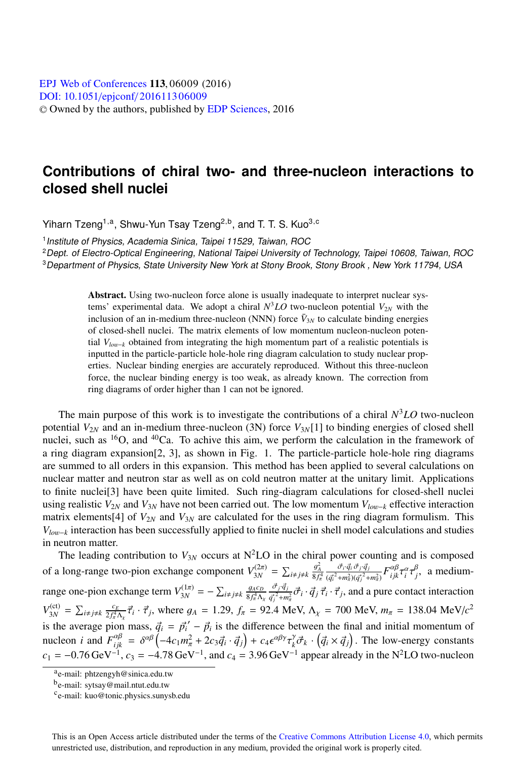## **Contributions of chiral two- and three-nucleon interactions to closed shell nuclei**

Yiharn Tzeng<sup>1,a</sup>, Shwu-Yun Tsay Tzeng<sup>2,b</sup>, and T. T. S. Kuo<sup>3,c</sup>

<sup>1</sup> Institute of Physics, Academia Sinica, Taipei 11529, Taiwan, ROC

<sup>2</sup>Dept. of Electro-Optical Engineering, National Taipei University of Technology, Taipei 10608, Taiwan, ROC <sup>3</sup>Department of Physics, State University New York at Stony Brook, Stony Brook , New York 11794, USA

> Abstract. Using two-nucleon force alone is usually inadequate to interpret nuclear systems' experimental data. We adopt a chiral  $N<sup>3</sup>LO$  two-nucleon potential  $V_{2N}$  with the inclusion of an in-medium three-nucleon (NNN) force  $\bar{V}_{3N}$  to calculate binding energies of closed-shell nuclei. The matrix elements of low momentum nucleon-nucleon potential *Vlo*w−*<sup>k</sup>* obtained from integrating the high momentum part of a realistic potentials is inputted in the particle-particle hole-hole ring diagram calculation to study nuclear properties. Nuclear binding energies are accurately reproduced. Without this three-nucleon force, the nuclear binding energy is too weak, as already known. The correction from ring diagrams of order higher than 1 can not be ignored.

The main purpose of this work is to investigate the contributions of a chiral  $N<sup>3</sup>LO$  two-nucleon potential  $V_{2N}$  and an in-medium three-nucleon (3N) force  $V_{3N}[1]$  to binding energies of closed shell nuclei, such as  ${}^{16}O$ , and  ${}^{40}Ca$ . To achive this aim, we perform the calculation in the framework of a ring diagram expansion[2, 3], as shown in Fig. 1. The particle-particle hole-hole ring diagrams are summed to all orders in this expansion. This method has been applied to several calculations on nuclear matter and neutron star as well as on cold neutron matter at the unitary limit. Applications to finite nuclei[3] have been quite limited. Such ring-diagram calculations for closed-shell nuclei using realistic  $V_{2N}$  and  $V_{3N}$  have not been carried out. The low momentum  $V_{low-k}$  effective interaction matrix elements[4] of  $V_{2N}$  and  $V_{3N}$  are calculated for the uses in the ring diagram formulism. This *V<sub>low−k</sub>* interaction has been successfully applied to finite nuclei in shell model calculations and studies in neutron matter.

The leading contribution to  $V_{3N}$  occurs at  $N^2LO$  in the chiral power counting and is composed of a long-range two-pion exchange component  $V_{3N}^{(2\pi)} = \sum_{i \neq j \neq k} \frac{g_A^2}{8f_n^4} \frac{\vec{\sigma}_i \cdot \vec{q}_i \vec{\sigma}_j \cdot \vec{q}_j}{(q_i^2 + m_\pi^2)(q_i^2 + m_\pi^2)}$ range one-pion exchange term  $V_{3N}^{(1\pi)} = -\sum_{i \neq j \neq k} \frac{g_{A}c_{D}}{8f_{\pi}^{4}\Lambda_{\chi}} \frac{\vec{\sigma}_{j} \cdot \vec{q}_{j}}{q_{j}^{2} + m_{\pi}^{2}} \vec{\sigma}_{i} \cdot \vec{q}_{j}$  $(\vec{q}_i^2 + m_\pi^2)(\vec{q}_j^2 + m_\pi^2)$  $F^{\alpha\beta}_{ijk}\tau_i^{\alpha}\tau_j^{\beta}$ , a medium- $\frac{\vec{\sigma}_j \cdot \vec{q}_j}{2}$  $\frac{\partial^2 j^2 \bar{q}_j}{\partial q_j^2 + m_\pi^2} \vec{\sigma}_i \cdot \vec{q}_j \vec{\tau}_i \cdot \vec{\tau}_j$ , and a pure contact interaction  $V_{3N}^{(\text{ct})} = \sum_{i \neq j \neq k} \frac{c_E}{2f_\pi^4 \Lambda_\chi} \vec{\tau}_i \cdot \vec{\tau}_j$ , where  $g_A = 1.29$ ,  $f_\pi = 92.4$  MeV,  $\Lambda_\chi = 700$  MeV,  $m_\pi = 138.04$  MeV/ $c^2$  $\vec{q}_A = \sum_{i \neq j \neq k} \frac{2f_\pi^2 \Lambda_{\chi} \cdot \vec{i} + \vec{j}}{2f_\pi^2 \Lambda_{\chi} \cdot \vec{i}}$ , where  $g_A = 1.25$ ,  $f_\pi = 92$ . The  $\vec{i}, \frac{1}{N} = 755$  and  $\vec{i}, \frac{1}{N} = 1555$  interpreteriors is the average pion mass,  $\vec{q}_i = \vec{p}_i' - \vec{p}_i$  is the dif  $c_1 = -0.76 \,\text{GeV}^{-1}$ ,  $c_3 = -4.78 \,\text{GeV}^{-1}$ , and  $c_4 = 3.96 \,\text{GeV}^{-1}$  appear already in the N<sup>2</sup>LO two-nucleon

ae-mail: phtzengyh@sinica.edu.tw

be-mail: sytsay@mail.ntut.edu.tw

ce-mail: kuo@tonic.physics.sunysb.edu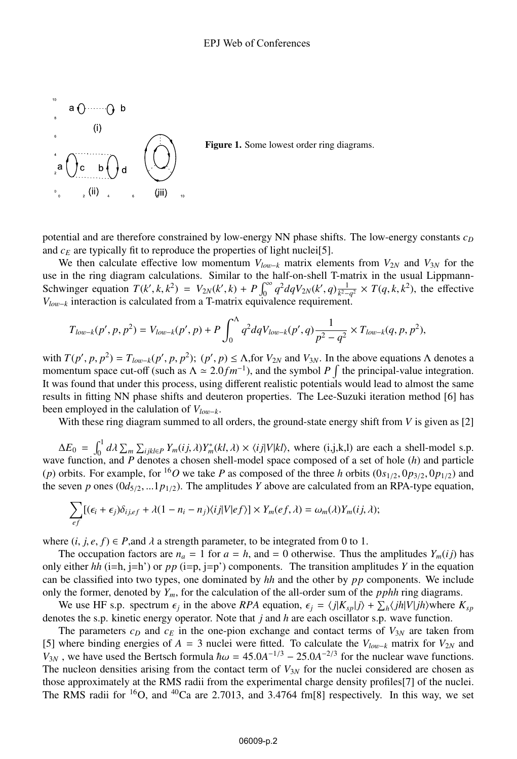

potential and are therefore constrained by low-energy NN phase shifts. The low-energy constants  $c<sub>D</sub>$ and  $c_E$  are typically fit to reproduce the properties of light nuclei<sup>[5]</sup>.

We then calculate effective low momentum  $V_{low-k}$  matrix elements from  $V_{2N}$  and  $V_{3N}$  for the use in the ring diagram calculations. Similar to the half-on-shell T-matrix in the usual Lippmann-Schwinger equation  $T(k',k,k^2) = V_{2N}(k',k) + P \int_0^\infty q^2 dq V_{2N}(k',q) \frac{1}{k-q^2} \times T(q,k,k^2)$ , the effective  $V_{k-1}$  interaction is calculated from a T-matrix equivalence requirement *V*<sub>low−k</sub> interaction is calculated from a T-matrix equivalence requirement.

$$
T_{low-k}(p',p,p^2) = V_{low-k}(p',p) + P \int_0^{\Lambda} q^2 dq V_{low-k}(p',q) \frac{1}{p^2 - q^2} \times T_{low-k}(q,p,p^2),
$$

with  $T(p', p, p^2) = T_{low-k}(p', p, p^2)$ ;  $(p', p) \le \Lambda$ , for  $V_{2N}$  and  $V_{3N}$ . In the above equations  $\Lambda$  denotes a<br>momentum space cut-off (such as  $\Lambda \approx 2.0$  fm<sup>-1</sup>) and the symbol  $P$  f the principal-value integration momentum space cut-off (such as  $\Lambda \approx 2.0 fm^{-1}$ ), and the symbol *P*  $\int$  the principal-value integration.<br>It was found that under this process, using different realistic potentials would lead to almost the same It was found that under this process, using different realistic potentials would lead to almost the same results in fitting NN phase shifts and deuteron properties. The Lee-Suzuki iteration method [6] has been employed in the calulation of *Vlo*w−*<sup>k</sup>*.

With these ring diagram summed to all orders, the ground-state energy shift from *V* is given as [2]

 $\Delta E_0 = \int_0^1 d\lambda \sum_m \sum_{ijkl \in P} Y_m(ij, \lambda) Y_m^*(kl, \lambda) \times \langle ij | V | kl \rangle$ , where (i,j,k,l) are each a shell-model s.p.<br>wave function, and P denotes a chosen shell-model space composed of a set of hole (h) and particle (*p*) orbits. For example, for <sup>16</sup>O we take *P* as composed of the three *h* orbits  $(0s_{1/2}, 0p_{3/2}, 0p_{1/2})$  and the seven *p* ones  $(0d_{5/2},...1p_{1/2})$ . The amplitudes *Y* above are calculated from an RPA-type equation,

$$
\sum_{ef} [(\epsilon_i + \epsilon_j)\delta_{i,ref} + \lambda(1 - n_i - n_j)\langle ij|V|ef\rangle] \times Y_m(ef, \lambda) = \omega_m(\lambda)Y_m(i,j,\lambda);
$$

where  $(i, j, e, f) \in P$ , and  $\lambda$  a strength parameter, to be integrated from 0 to 1.

The occupation factors are  $n_a = 1$  for  $a = h$ , and  $= 0$  otherwise. Thus the amplitudes  $Y_m(ij)$  has only either  $hh$  (i=h, j=h') or  $pp$  (i=p, j=p') components. The transition amplitudes *Y* in the equation can be classified into two types, one dominated by *hh* and the other by *pp* components. We include only the former, denoted by  $Y_m$ , for the calculation of the all-order sum of the *pphh* ring diagrams.

We use HF s.p. spectrum  $\epsilon_j$  in the above *RPA* equation,  $\epsilon_j = \langle j|K_{sp}|j\rangle + \sum_h \langle jh|V|jh\rangle$  where  $K_{sp}$  otes the s.p. kinetic energy operator. Note that *i* and *h* are each oscillator s.p. wave function denotes the s.p. kinetic energy operator. Note that *j* and *h* are each oscillator s.p. wave function.

The parameters  $c_D$  and  $c_E$  in the one-pion exchange and contact terms of  $V_{3N}$  are taken from [5] where binding energies of *<sup>A</sup>* <sup>=</sup> 3 nuclei were fitted. To calculate the *Vlo*w−*<sup>k</sup>* matrix for *<sup>V</sup>*2*<sup>N</sup>* and *V*<sub>3*N*</sub>, we have used the Bertsch formula  $\hbar \omega = 45.0A^{-1/3} - 25.0A^{-2/3}$  for the nuclear wave functions. The nucleon densities arising from the contact term of  $V_{3N}$  for the nuclei considered are chosen as those approximately at the RMS radii from the experimental charge density profiles[7] of the nuclei. The RMS radii for <sup>16</sup>O, and <sup>40</sup>Ca are 2.7013, and 3.4764 fm[8] respectively. In this way, we set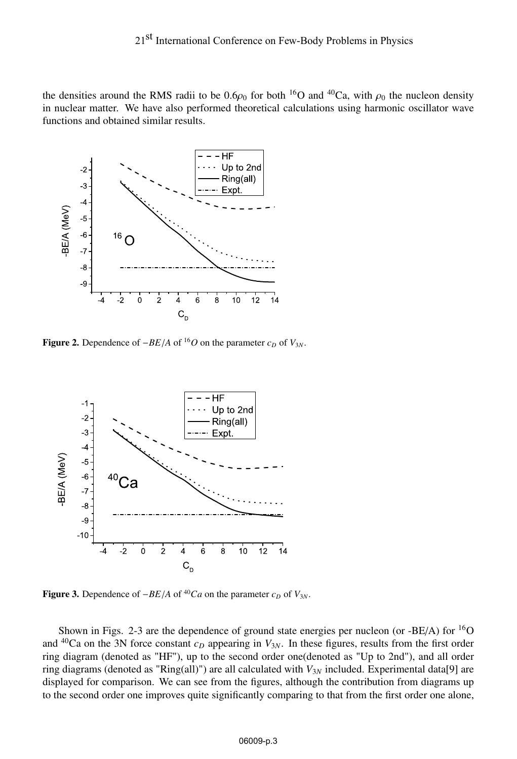the densities around the RMS radii to be  $0.6\rho_0$  for both <sup>16</sup>O and <sup>40</sup>Ca, with  $\rho_0$  the nucleon density in nuclear matter. We have also performed theoretical calculations using harmonic oscillator wave functions and obtained similar results.



Figure 2. Dependence of  $-BE/A$  of <sup>16</sup>*O* on the parameter  $c_D$  of  $V_{3N}$ .



Figure 3. Dependence of  $-BE/A$  of <sup>40</sup>*Ca* on the parameter  $c_D$  of  $V_{3N}$ .

Shown in Figs. 2-3 are the dependence of ground state energies per nucleon (or  $-BE/A$ ) for  ${}^{16}O$ and  $^{40}$ Ca on the 3N force constant  $c_D$  appearing in  $V_{3N}$ . In these figures, results from the first order ring diagram (denoted as "HF"), up to the second order one(denoted as "Up to 2nd"), and all order ring diagrams (denoted as "Ring(all)") are all calculated with *V*3*<sup>N</sup>* included. Experimental data[9] are displayed for comparison. We can see from the figures, although the contribution from diagrams up to the second order one improves quite significantly comparing to that from the first order one alone,